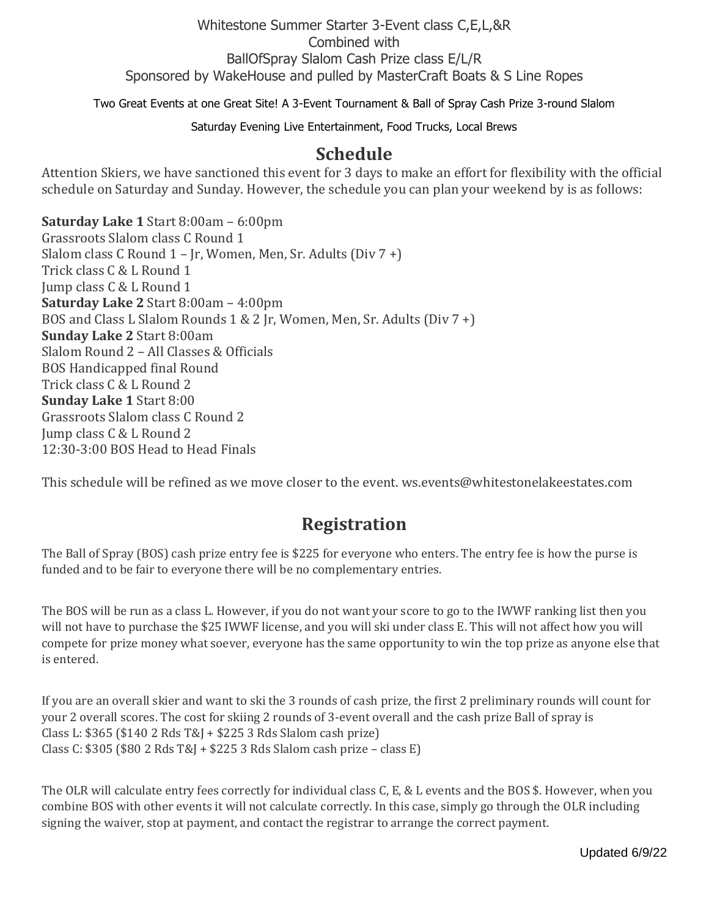#### Whitestone Summer Starter 3-Event class C,E,L,&R Combined with BallOfSpray Slalom Cash Prize class E/L/R Sponsored by WakeHouse and pulled by MasterCraft Boats & S Line Ropes

Two Great Events at one Great Site! A 3-Event Tournament & Ball of Spray Cash Prize 3-round Slalom

Saturday Evening Live Entertainment, Food Trucks, Local Brews

#### **Schedule**

Attention Skiers, we have sanctioned this event for 3 days to make an effort for flexibility with the official schedule on Saturday and Sunday. However, the schedule you can plan your weekend by is as follows:

**Saturday Lake 1** Start 8:00am – 6:00pm Grassroots Slalom class C Round 1 Slalom class C Round 1 – Jr, Women, Men, Sr. Adults (Div 7 +) Trick class C & L Round 1 Jump class C & L Round 1 **Saturday Lake 2** Start 8:00am – 4:00pm BOS and Class L Slalom Rounds 1 & 2 Jr, Women, Men, Sr. Adults (Div 7 +) **Sunday Lake 2** Start 8:00am Slalom Round 2 – All Classes & Officials BOS Handicapped final Round Trick class C & L Round 2 **Sunday Lake 1** Start 8:00 Grassroots Slalom class C Round 2 Jump class C & L Round 2 12:30-3:00 BOS Head to Head Finals

This schedule will be refined as we move closer to the event. ws.events@whitestonelakeestates.com

#### **Registration**

The Ball of Spray (BOS) cash prize entry fee is \$225 for everyone who enters. The entry fee is how the purse is funded and to be fair to everyone there will be no complementary entries.

The BOS will be run as a class L. However, if you do not want your score to go to the IWWF ranking list then you will not have to purchase the \$25 IWWF license, and you will ski under class E. This will not affect how you will compete for prize money what soever, everyone has the same opportunity to win the top prize as anyone else that is entered.

If you are an overall skier and want to ski the 3 rounds of cash prize, the first 2 preliminary rounds will count for your 2 overall scores. The cost for skiing 2 rounds of 3-event overall and the cash prize Ball of spray is Class L: \$365 (\$140 2 Rds T&J + \$225 3 Rds Slalom cash prize) Class C: \$305 (\$80 2 Rds T&J + \$225 3 Rds Slalom cash prize – class E)

The OLR will calculate entry fees correctly for individual class C, E, & L events and the BOS \$. However, when you combine BOS with other events it will not calculate correctly. In this case, simply go through the OLR including signing the waiver, stop at payment, and contact the registrar to arrange the correct payment.

Updated 6/9/22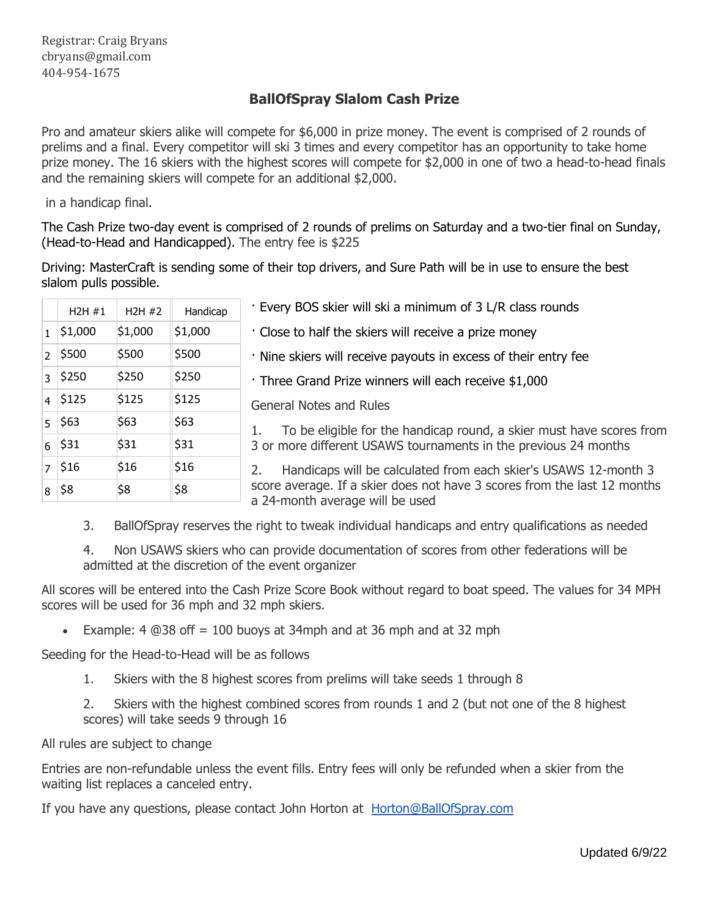#### **BallOfSpray Slalom Cash Prize**

Pro and amateur skiers alike will compete for \$6,000 in prize money. The event is comprised of 2 rounds of prelims and a final. Every competitor will ski 3 times and every competitor has an opportunity to take home prize money. The 16 skiers with the highest scores will compete for \$2,000 in one of two a head-to-head finals and the remaining skiers will compete for an additional \$2,000.

in a handicap final.

The Cash Prize two-day event is comprised of 2 rounds of prelims on Saturday and a two-tier final on Sunday, (Head-to-Head and Handicapped). The entry fee is \$225

Driving: MasterCraft is sending some of their top drivers, and Sure Path will be in use to ensure the best slalom pulls possible.

| H2H#1           | H2H#2   | Handicap | · Every BOS skier will ski a minimum of 3 L/R class rounds                                                                                                                     |
|-----------------|---------|----------|--------------------------------------------------------------------------------------------------------------------------------------------------------------------------------|
| $1 \mid $1,000$ | \$1,000 | \$1,000  | · Close to half the skiers will receive a prize money                                                                                                                          |
| $2 \mid 5500$   | \$500   | \$500    | . Nine skiers will receive payouts in excess of their entry fee                                                                                                                |
| $3 \vert$ \$250 | \$250   | \$250    | Three Grand Prize winners will each receive \$1,000                                                                                                                            |
| $4 \vert 5125$  | \$125   | \$125    | <b>General Notes and Rules</b>                                                                                                                                                 |
| $5 \,   \, $63$ | \$63    | \$63     | To be eligible for the handicap round, a skier must have scores from                                                                                                           |
| $6 \vert 531$   | \$31    | \$31     | 3 or more different USAWS tournaments in the previous 24 months                                                                                                                |
| $7 \,$ \$16     | \$16    | \$16     | Handicaps will be calculated from each skier's USAWS 12-month 3<br>score average. If a skier does not have 3 scores from the last 12 months<br>a 24-month average will be used |
| 8 58            | \$8     | \$8      |                                                                                                                                                                                |
|                 |         |          |                                                                                                                                                                                |

3. BallOfSpray reserves the right to tweak individual handicaps and entry qualifications as needed

4. Non USAWS skiers who can provide documentation of scores from other federations will be admitted at the discretion of the event organizer

All scores will be entered into the Cash Prize Score Book without regard to boat speed. The values for 34 MPH scores will be used for 36 mph and 32 mph skiers.

Example: 4  $@38$  off = 100 buoys at 34mph and at 36 mph and at 32 mph

Seeding for the Head-to-Head will be as follows

1. Skiers with the 8 highest scores from prelims will take seeds 1 through 8

2. Skiers with the highest combined scores from rounds 1 and 2 (but not one of the 8 highest scores) will take seeds 9 through 16

All rules are subject to change

Entries are non-refundable unless the event fills. Entry fees will only be refunded when a skier from the waiting list replaces a canceled entry.

If you have any questions, please contact John Horton at [Horton@BallOfSpray.com](mailto:Horton@BallOfSpray.com)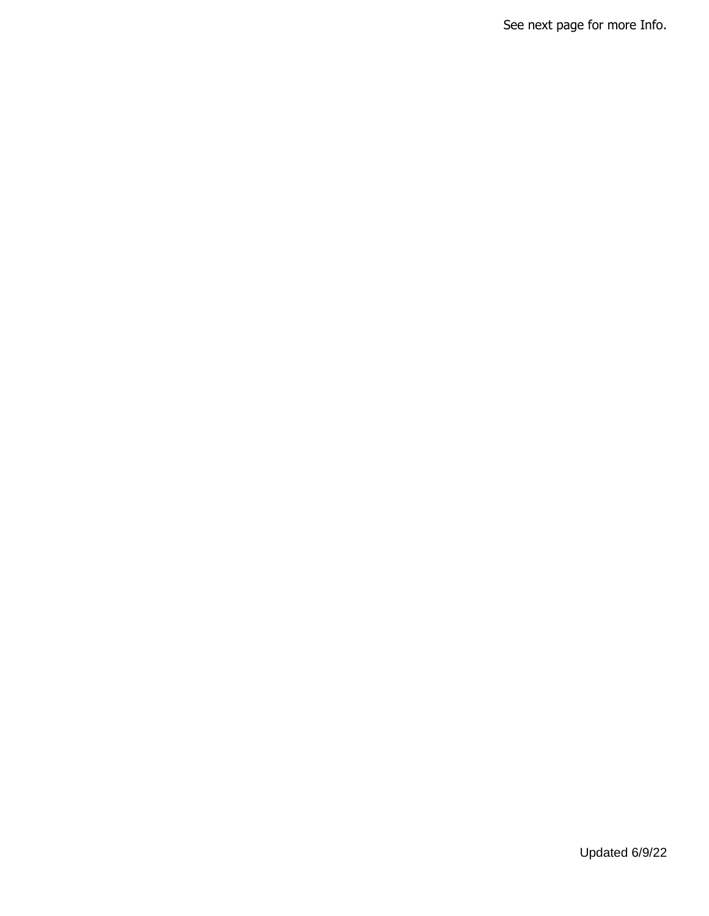See next page for more Info.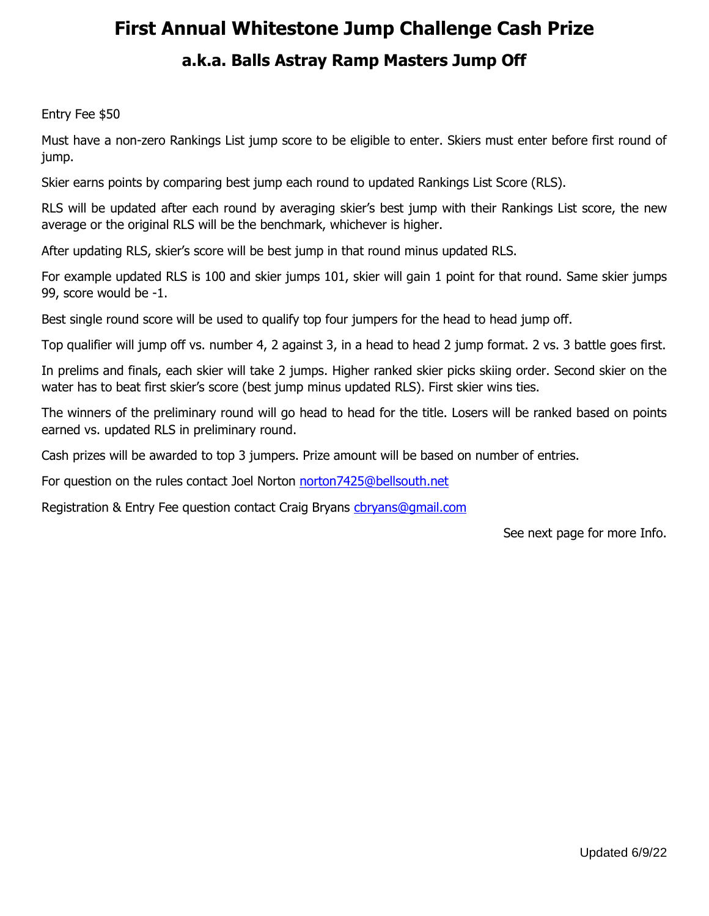# **First Annual Whitestone Jump Challenge Cash Prize a.k.a. Balls Astray Ramp Masters Jump Off**

#### Entry Fee \$50

Must have a non-zero Rankings List jump score to be eligible to enter. Skiers must enter before first round of jump.

Skier earns points by comparing best jump each round to updated Rankings List Score (RLS).

RLS will be updated after each round by averaging skier's best jump with their Rankings List score, the new average or the original RLS will be the benchmark, whichever is higher.

After updating RLS, skier's score will be best jump in that round minus updated RLS.

For example updated RLS is 100 and skier jumps 101, skier will gain 1 point for that round. Same skier jumps 99, score would be -1.

Best single round score will be used to qualify top four jumpers for the head to head jump off.

Top qualifier will jump off vs. number 4, 2 against 3, in a head to head 2 jump format. 2 vs. 3 battle goes first.

In prelims and finals, each skier will take 2 jumps. Higher ranked skier picks skiing order. Second skier on the water has to beat first skier's score (best jump minus updated RLS). First skier wins ties.

The winners of the preliminary round will go head to head for the title. Losers will be ranked based on points earned vs. updated RLS in preliminary round.

Cash prizes will be awarded to top 3 jumpers. Prize amount will be based on number of entries.

For question on the rules contact Joel Norton [norton7425@bellsouth.net](mailto:norton7425@bellsouth.net)

Registration & Entry Fee question contact Craig Bryans chryans@gmail.com

See next page for more Info.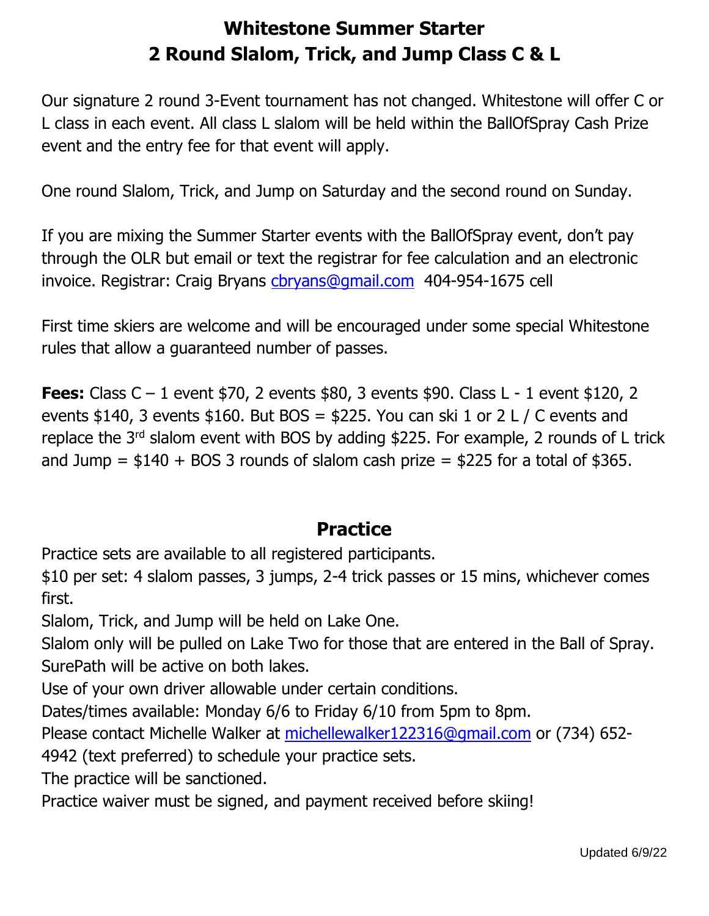# **Whitestone Summer Starter 2 Round Slalom, Trick, and Jump Class C & L**

Our signature 2 round 3-Event tournament has not changed. Whitestone will offer C or L class in each event. All class L slalom will be held within the BallOfSpray Cash Prize event and the entry fee for that event will apply.

One round Slalom, Trick, and Jump on Saturday and the second round on Sunday.

If you are mixing the Summer Starter events with the BallOfSpray event, don't pay through the OLR but email or text the registrar for fee calculation and an electronic invoice. Registrar: Craig Bryans [cbryans@gmail.com](mailto:cbryans@gmail.com) 404-954-1675 cell

First time skiers are welcome and will be encouraged under some special Whitestone rules that allow a guaranteed number of passes.

**Fees:** Class C – 1 event \$70, 2 events \$80, 3 events \$90. Class L - 1 event \$120, 2 events \$140, 3 events \$160. But BOS = \$225. You can ski 1 or 2 L / C events and replace the  $3<sup>rd</sup>$  slalom event with BOS by adding \$225. For example, 2 rounds of L trick and Jump =  $$140 + BOS$  3 rounds of slalom cash prize =  $$225$  for a total of  $$365$ .

### **Practice**

Practice sets are available to all registered participants.

\$10 per set: 4 slalom passes, 3 jumps, 2-4 trick passes or 15 mins, whichever comes first.

Slalom, Trick, and Jump will be held on Lake One.

Slalom only will be pulled on Lake Two for those that are entered in the Ball of Spray. SurePath will be active on both lakes.

Use of your own driver allowable under certain conditions.

Dates/times available: Monday 6/6 to Friday 6/10 from 5pm to 8pm.

Please contact Michelle Walker at [michellewalker122316@gmail.com](mailto:michellewalker122316@gmail.com) or (734) 652-

4942 (text preferred) to schedule your practice sets.

The practice will be sanctioned.

Practice waiver must be signed, and payment received before skiing!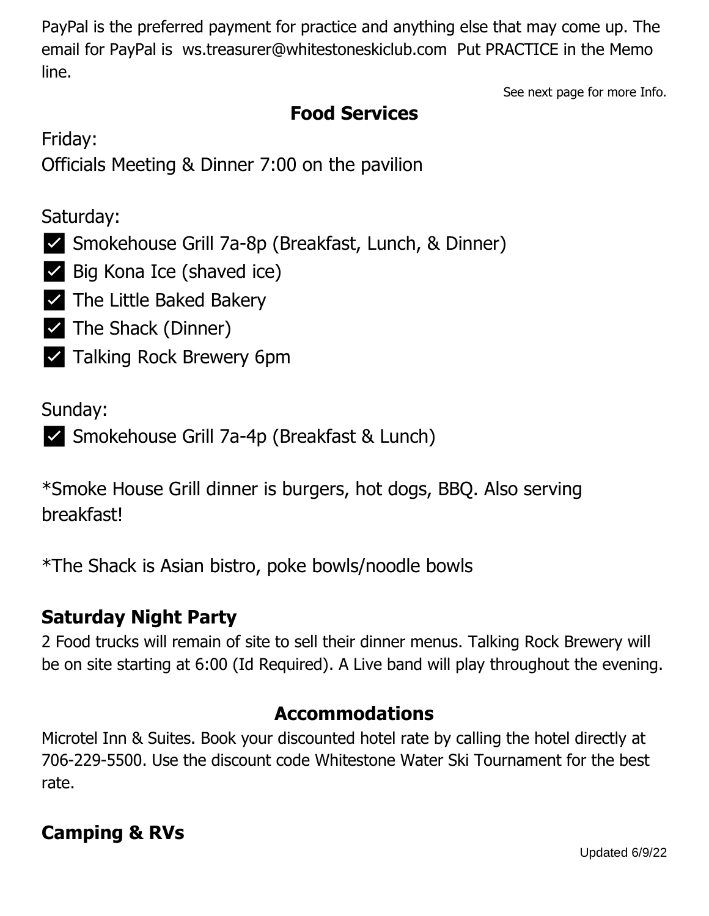PayPal is the preferred payment for practice and anything else that may come up. The email for PayPal is ws.treasurer@whitestoneskiclub.com Put PRACTICE in the Memo line.

See next page for more Info.

## **Food Services**

Friday:

Officials Meeting & Dinner 7:00 on the pavilion

### Saturday:

- ✅ Smokehouse Grill 7a-8p (Breakfast, Lunch, & Dinner)
- ✅ Big Kona Ice (shaved ice)
- ✅ The Little Baked Bakery
- ✅ The Shack (Dinner)
- ✅ Talking Rock Brewery 6pm

Sunday:

```
✅ Smokehouse Grill 7a-4p (Breakfast & Lunch)
```
\*Smoke House Grill dinner is burgers, hot dogs, BBQ. Also serving breakfast!

\*The Shack is Asian bistro, poke bowls/noodle bowls

## **Saturday Night Party**

2 Food trucks will remain of site to sell their dinner menus. Talking Rock Brewery will be on site starting at 6:00 (Id Required). A Live band will play throughout the evening.

### **Accommodations**

Microtel Inn & Suites. Book your discounted hotel rate by calling the hotel directly at 706-229-5500. Use the discount code Whitestone Water Ski Tournament for the best rate.

### **Camping & RVs**

Updated 6/9/22